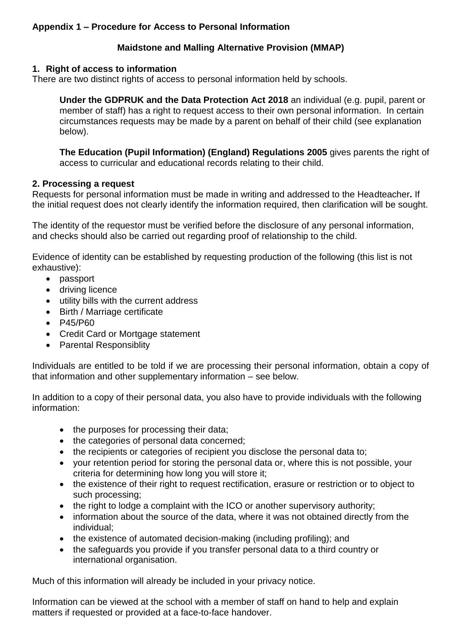# **Appendix 1 – Procedure for Access to Personal Information**

# **Maidstone and Malling Alternative Provision (MMAP)**

## **1. Right of access to information**

There are two distinct rights of access to personal information held by schools.

**Under the GDPRUK and the Data Protection Act 2018** an individual (e.g. pupil, parent or member of staff) has a right to request access to their own personal information. In certain circumstances requests may be made by a parent on behalf of their child (see explanation below).

**The Education (Pupil Information) (England) Regulations 2005** gives parents the right of access to curricular and educational records relating to their child.

## **2. Processing a request**

Requests for personal information must be made in writing and addressed to the Headteacher**.** If the initial request does not clearly identify the information required, then clarification will be sought.

The identity of the requestor must be verified before the disclosure of any personal information, and checks should also be carried out regarding proof of relationship to the child.

Evidence of identity can be established by requesting production of the following (this list is not exhaustive):

- passport
- driving licence
- utility bills with the current address
- Birth / Marriage certificate
- P45/P60
- Credit Card or Mortgage statement
- Parental Responsiblity

Individuals are entitled to be told if we are processing their personal information, obtain a copy of that information and other supplementary information – see below.

In addition to a copy of their personal data, you also have to provide individuals with the following information:

- the purposes for processing their data;
- the categories of personal data concerned;
- the recipients or categories of recipient you disclose the personal data to;
- your retention period for storing the personal data or, where this is not possible, your criteria for determining how long you will store it;
- the existence of their right to request rectification, erasure or restriction or to object to such processing;
- the right to lodge a complaint with the ICO or another supervisory authority;
- information about the source of the data, where it was not obtained directly from the individual;
- the existence of automated decision-making (including profiling); and
- the safeguards you provide if you transfer personal data to a third country or international organisation.

Much of this information will already be included in your privacy notice.

Information can be viewed at the school with a member of staff on hand to help and explain matters if requested or provided at a face-to-face handover.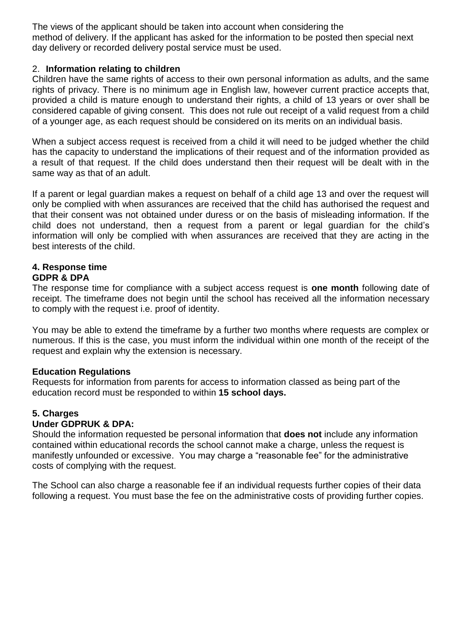The views of the applicant should be taken into account when considering the method of delivery. If the applicant has asked for the information to be posted then special next day delivery or recorded delivery postal service must be used.

### 2. **Information relating to children**

Children have the same rights of access to their own personal information as adults, and the same rights of privacy. There is no minimum age in English law, however current practice accepts that, provided a child is mature enough to understand their rights, a child of 13 years or over shall be considered capable of giving consent. This does not rule out receipt of a valid request from a child of a younger age, as each request should be considered on its merits on an individual basis.

When a subject access request is received from a child it will need to be judged whether the child has the capacity to understand the implications of their request and of the information provided as a result of that request. If the child does understand then their request will be dealt with in the same way as that of an adult.

If a parent or legal guardian makes a request on behalf of a child age 13 and over the request will only be complied with when assurances are received that the child has authorised the request and that their consent was not obtained under duress or on the basis of misleading information. If the child does not understand, then a request from a parent or legal guardian for the child's information will only be complied with when assurances are received that they are acting in the best interests of the child.

#### **4. Response time GDPR & DPA**

The response time for compliance with a subject access request is **one month** following date of receipt. The timeframe does not begin until the school has received all the information necessary to comply with the request i.e. proof of identity.

You may be able to extend the timeframe by a further two months where requests are complex or numerous. If this is the case, you must inform the individual within one month of the receipt of the request and explain why the extension is necessary.

### **Education Regulations**

Requests for information from parents for access to information classed as being part of the education record must be responded to within **15 school days.**

## **5. Charges**

### **Under GDPRUK & DPA:**

Should the information requested be personal information that **does not** include any information contained within educational records the school cannot make a charge, unless the request is manifestly unfounded or excessive. You may charge a "reasonable fee" for the administrative costs of complying with the request.

The School can also charge a reasonable fee if an individual requests further copies of their data following a request. You must base the fee on the administrative costs of providing further copies.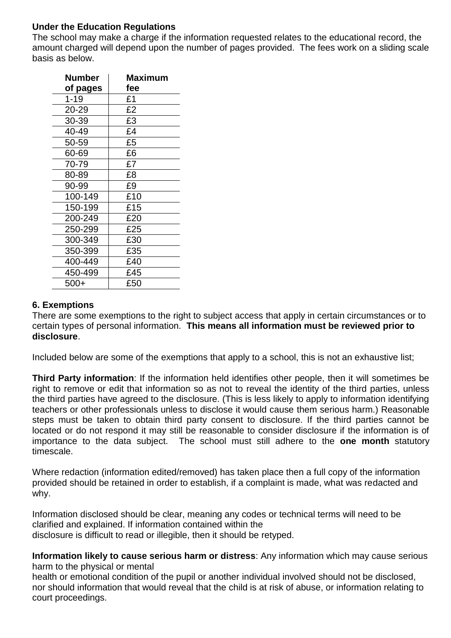# **Under the Education Regulations**

The school may make a charge if the information requested relates to the educational record, the amount charged will depend upon the number of pages provided. The fees work on a sliding scale basis as below.

| Number   | Maximum |
|----------|---------|
| of pages | fee     |
| $1 - 19$ | £1      |
| 20-29    | £2      |
| 30-39    | £3      |
| 40-49    | £4      |
| 50-59    | £5      |
| 60-69    | £6      |
| 70-79    | £7      |
| 80-89    | £8      |
| 90-99    | £9      |
| 100-149  | £10     |
| 150-199  | £15     |
| 200-249  | £20     |
| 250-299  | £25     |
| 300-349  | £30     |
| 350-399  | £35     |
| 400-449  | £40     |
| 450-499  | £45     |
| $500+$   | £50     |

## **6. Exemptions**

There are some exemptions to the right to subject access that apply in certain circumstances or to certain types of personal information. **This means all information must be reviewed prior to disclosure**.

Included below are some of the exemptions that apply to a school, this is not an exhaustive list;

**Third Party information**: If the information held identifies other people, then it will sometimes be right to remove or edit that information so as not to reveal the identity of the third parties, unless the third parties have agreed to the disclosure. (This is less likely to apply to information identifying teachers or other professionals unless to disclose it would cause them serious harm.) Reasonable steps must be taken to obtain third party consent to disclosure. If the third parties cannot be located or do not respond it may still be reasonable to consider disclosure if the information is of importance to the data subject. The school must still adhere to the **one month** statutory timescale.

Where redaction (information edited/removed) has taken place then a full copy of the information provided should be retained in order to establish, if a complaint is made, what was redacted and why.

Information disclosed should be clear, meaning any codes or technical terms will need to be clarified and explained. If information contained within the disclosure is difficult to read or illegible, then it should be retyped.

**Information likely to cause serious harm or distress**: Any information which may cause serious harm to the physical or mental

health or emotional condition of the pupil or another individual involved should not be disclosed, nor should information that would reveal that the child is at risk of abuse, or information relating to court proceedings.